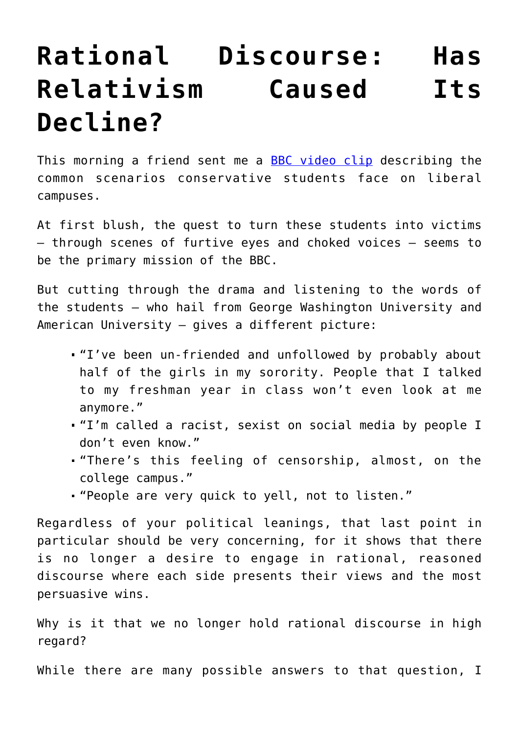## **[Rational Discourse: Has](https://intellectualtakeout.org/2017/02/rational-discourse-has-relativism-caused-its-decline/) [Relativism Caused Its](https://intellectualtakeout.org/2017/02/rational-discourse-has-relativism-caused-its-decline/) [Decline?](https://intellectualtakeout.org/2017/02/rational-discourse-has-relativism-caused-its-decline/)**

This morning a friend sent me a **[BBC video clip](http://www.bbc.com/news/world-us-canada-38910648)** describing the common scenarios conservative students face on liberal campuses.

At first blush, the quest to turn these students into victims – through scenes of furtive eyes and choked voices – seems to be the primary mission of the BBC.

But cutting through the drama and listening to the words of the students – who hail from George Washington University and American University – gives a different picture:

- "I've been un-friended and unfollowed by probably about half of the girls in my sorority. People that I talked to my freshman year in class won't even look at me anymore."
- "I'm called a racist, sexist on social media by people I don't even know."
- "There's this feeling of censorship, almost, on the college campus."
- "People are very quick to yell, not to listen."

Regardless of your political leanings, that last point in particular should be very concerning, for it shows that there is no longer a desire to engage in rational, reasoned discourse where each side presents their views and the most persuasive wins.

Why is it that we no longer hold rational discourse in high regard?

While there are many possible answers to that question, I